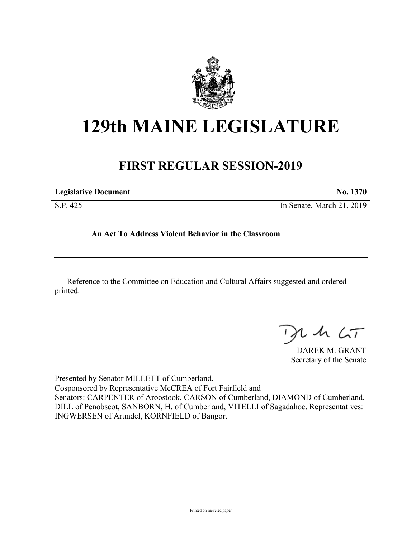

## **129th MAINE LEGISLATURE**

## **FIRST REGULAR SESSION-2019**

| <b>Legislative Document</b> | No. 1370                  |
|-----------------------------|---------------------------|
| S.P. 425                    | In Senate, March 21, 2019 |

**An Act To Address Violent Behavior in the Classroom**

Reference to the Committee on Education and Cultural Affairs suggested and ordered printed.

 $125$ 

DAREK M. GRANT Secretary of the Senate

Presented by Senator MILLETT of Cumberland. Cosponsored by Representative McCREA of Fort Fairfield and Senators: CARPENTER of Aroostook, CARSON of Cumberland, DIAMOND of Cumberland, DILL of Penobscot, SANBORN, H. of Cumberland, VITELLI of Sagadahoc, Representatives: INGWERSEN of Arundel, KORNFIELD of Bangor.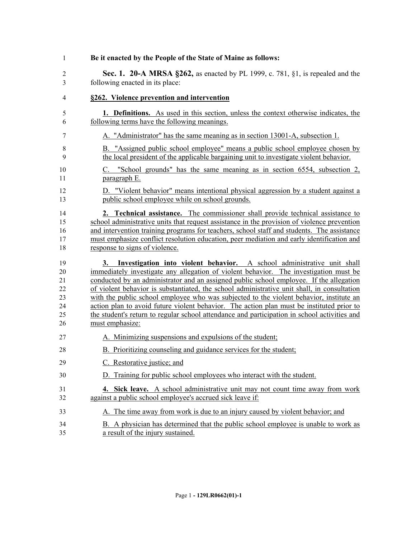| 1              | Be it enacted by the People of the State of Maine as follows:                                |
|----------------|----------------------------------------------------------------------------------------------|
| $\overline{2}$ | Sec. 1. 20-A MRSA §262, as enacted by PL 1999, c. 781, §1, is repealed and the               |
| 3              | following enacted in its place:                                                              |
| 4              | §262. Violence prevention and intervention                                                   |
| 5              | <b>1. Definitions.</b> As used in this section, unless the context otherwise indicates, the  |
| 6              | following terms have the following meanings.                                                 |
| 7              | A. "Administrator" has the same meaning as in section 13001-A, subsection 1.                 |
| 8              | B. "Assigned public school employee" means a public school employee chosen by                |
| 9              | the local president of the applicable bargaining unit to investigate violent behavior.       |
| 10             | C. "School grounds" has the same meaning as in section 6554, subsection 2,                   |
| 11             | paragraph E.                                                                                 |
| 12             | D. "Violent behavior" means intentional physical aggression by a student against a           |
| 13             | public school employee while on school grounds.                                              |
| 14             | <b>2. Technical assistance.</b> The commissioner shall provide technical assistance to       |
| 15             | school administrative units that request assistance in the provision of violence prevention  |
| 16             | and intervention training programs for teachers, school staff and students. The assistance   |
| 17             | must emphasize conflict resolution education, peer mediation and early identification and    |
| 18             | response to signs of violence.                                                               |
| 19             | 3. Investigation into violent behavior. A school administrative unit shall                   |
| 20             | immediately investigate any allegation of violent behavior. The investigation must be        |
| 21             | conducted by an administrator and an assigned public school employee. If the allegation      |
| 22             | of violent behavior is substantiated, the school administrative unit shall, in consultation  |
| 23             | with the public school employee who was subjected to the violent behavior, institute an      |
| 24             | action plan to avoid future violent behavior. The action plan must be instituted prior to    |
| 25             | the student's return to regular school attendance and participation in school activities and |
| 26             | must emphasize:                                                                              |
| 27             | A. Minimizing suspensions and expulsions of the student;                                     |
| 28             | B. Prioritizing counseling and guidance services for the student;                            |
| 29             | C. Restorative justice; and                                                                  |
| 30             | Training for public school employees who interact with the student.<br>D.                    |
| 31             | 4. Sick leave. A school administrative unit may not count time away from work                |
| 32             | against a public school employee's accrued sick leave if:                                    |
| 33             | A. The time away from work is due to an injury caused by violent behavior; and               |
| 34             | B. A physician has determined that the public school employee is unable to work as           |
| 35             | a result of the injury sustained.                                                            |